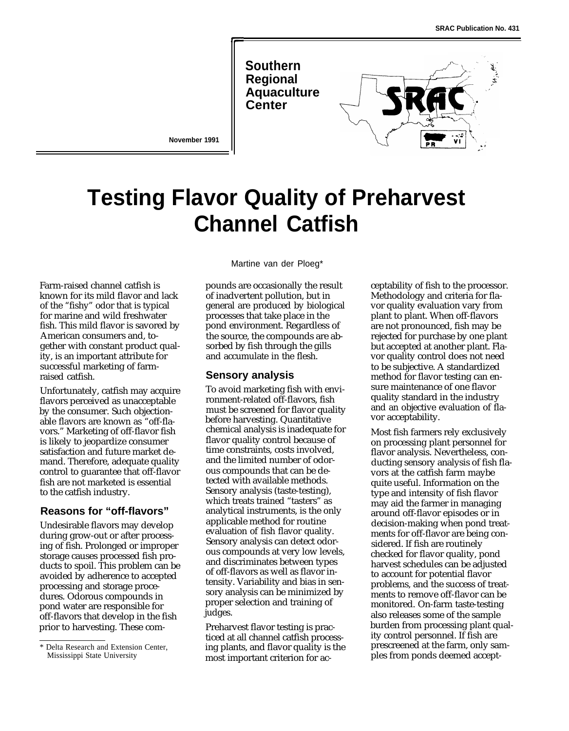**Southern Regional Aquaculture**



**November 1991**

# **Testing Flavor Quality of Preharvest Channel Catfish**

Farm-raised channel catfish is known for its mild flavor and lack of the "fishy" odor that is typical for marine and wild freshwater fish. This mild flavor is savored by American consumers and, together with constant product quality, is an important attribute for successful marketing of farmraised catfish.

Unfortunately, catfish may acquire flavors perceived as unacceptable by the consumer. Such objectionable flavors are known as "off-flavors." Marketing of off-flavor fish is likely to jeopardize consumer satisfaction and future market demand. Therefore, adequate quality control to guarantee that off-flavor fish are not marketed is essential to the catfish industry.

## **Reasons for "off-flavors"**

Undesirable flavors may develop during grow-out or after processing of fish. Prolonged or improper storage causes processed fish products to spoil. This problem can be avoided by adherence to accepted processing and storage procedures. Odorous compounds in pond water are responsible for off-flavors that develop in the fish prior to harvesting. These comMartine van der Ploeg\*

pounds are occasionally the result of inadvertent pollution, but in general are produced by biological processes that take place in the pond environment. Regardless of the source, the compounds are absorbed by fish through the gills and accumulate in the flesh.

#### **Sensory analysis**

To avoid marketing fish with environment-related off-flavors, fish must be screened for flavor quality before harvesting. Quantitative chemical analysis is inadequate for flavor quality control because of time constraints, costs involved, and the limited number of odorous compounds that can be detected with available methods. Sensory analysis (taste-testing), which treats trained "tasters" as analytical instruments, is the only applicable method for routine evaluation of fish flavor quality. Sensory analysis can detect odorous compounds at very low levels, and discriminates between types of off-flavors as well as flavor intensity. Variability and bias in sensory analysis can be minimized by proper selection and training of judges.

Preharvest flavor testing is practiced at all channel catfish processing plants, and flavor quality is the most important criterion for acceptability of fish to the processor. Methodology and criteria for flavor quality evaluation vary from plant to plant. When off-flavors are not pronounced, fish may be rejected for purchase by one plant but accepted at another plant. Flavor quality control does not need to be subjective. A standardized method for flavor testing can ensure maintenance of one flavor quality standard in the industry and an objective evaluation of flavor acceptability.

Most fish farmers rely exclusively on processing plant personnel for flavor analysis. Nevertheless, conducting sensory analysis of fish flavors at the catfish farm maybe quite useful. Information on the type and intensity of fish flavor may aid the farmer in managing around off-flavor episodes or in decision-making when pond treatments for off-flavor are being considered. If fish are routinely checked for flavor quality, pond harvest schedules can be adjusted to account for potential flavor problems, and the success of treatments to remove off-flavor can be monitored. On-farm taste-testing also releases some of the sample burden from processing plant quality control personnel. If fish are prescreened at the farm, only samples from ponds deemed accept-

<sup>\*</sup> Delta Research and Extension Center, Mississippi State University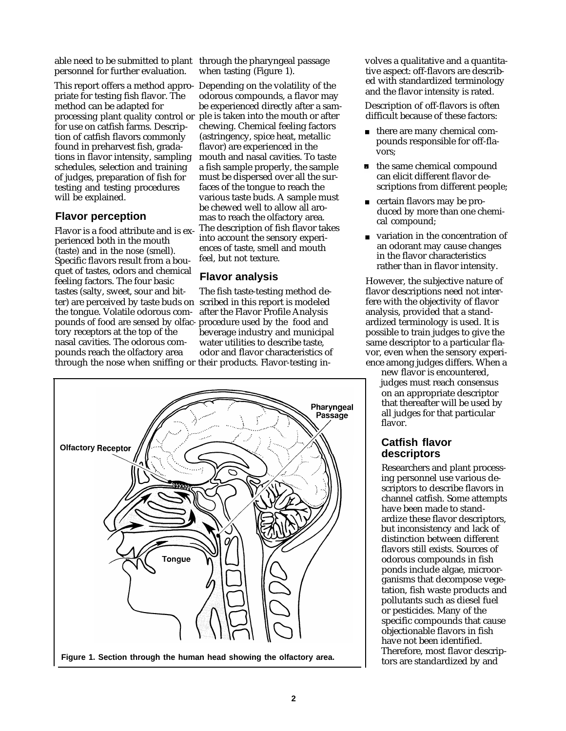able need to be submitted to plant through the pharyngeal passage personnel for further evaluation.

This report offers a method appro-Depending on the volatility of the priate for testing fish flavor. The method can be adapted for processing plant quality control or for use on catfish farms. Description of catfish flavors commonly found in preharvest fish, gradations in flavor intensity, sampling schedules, selection and training of judges, preparation of fish for testing and testing procedures will be explained.

# **Flavor perception**

Flavor is a food attribute and is experienced both in the mouth (taste) and in the nose (smell). Specific flavors result from a bouquet of tastes, odors and chemical feeling factors. The four basic tastes (salty, sweet, sour and bitter) are perceived by taste buds on scribed in this report is modeled the tongue. Volatile odorous compounds of food are sensed by olfac- procedure used by the food and tory receptors at the top of the beverage industry and municipal nasal cavities. The odorous com- water utilities to describe taste, pounds reach the olfactory area through the nose when sniffing or their products. Flavor-testing in-

when tasting (Figure 1).

odorous compounds, a flavor may be experienced directly after a sample is taken into the mouth or after chewing. Chemical feeling factors (astringency, spice heat, metallic flavor) are experienced in the mouth and nasal cavities. To taste a fish sample properly, the sample must be dispersed over all the surfaces of the tongue to reach the various taste buds. A sample must be chewed well to allow all aromas to reach the olfactory area. The description of fish flavor takes into account the sensory experiences of taste, smell and mouth feel, but not texture.

#### **Flavor analysis**

The fish taste-testing method deafter the Flavor Profile Analysis beverage industry and municipal<br>water utilities to describe taste,



volves a qualitative and a quantitative aspect: off-flavors are described with standardized terminology and the flavor intensity is rated.

Description of off-flavors is often difficult because of these factors:

- there are many chemical compounds responsible for off-flavors;
- **the same chemical compound** can elicit different flavor descriptions from different people;
- certain flavors may be produced by more than one chemical compound;
- variation in the concentration of an odorant may cause changes in the flavor characteristics rather than in flavor intensity.

However, the subjective nature of flavor descriptions need not interfere with the objectivity of flavor analysis, provided that a standardized terminology is used. It is possible to train judges to give the same descriptor to a particular flavor, even when the sensory experience among judges differs. When a

new flavor is encountered, judges must reach consensus on an appropriate descriptor that thereafter will be used by all judges for that particular flavor.

# **Catfish flavor descriptors**

Researchers and plant processing personnel use various descriptors to describe flavors in channel catfish. Some attempts have been made to standardize these flavor descriptors, but inconsistency and lack of distinction between different flavors still exists. Sources of odorous compounds in fish ponds include algae, microorganisms that decompose vegetation, fish waste products and pollutants such as diesel fuel or pesticides. Many of the specific compounds that cause objectionable flavors in fish have not been identified. Therefore, most flavor descriptors are standardized by and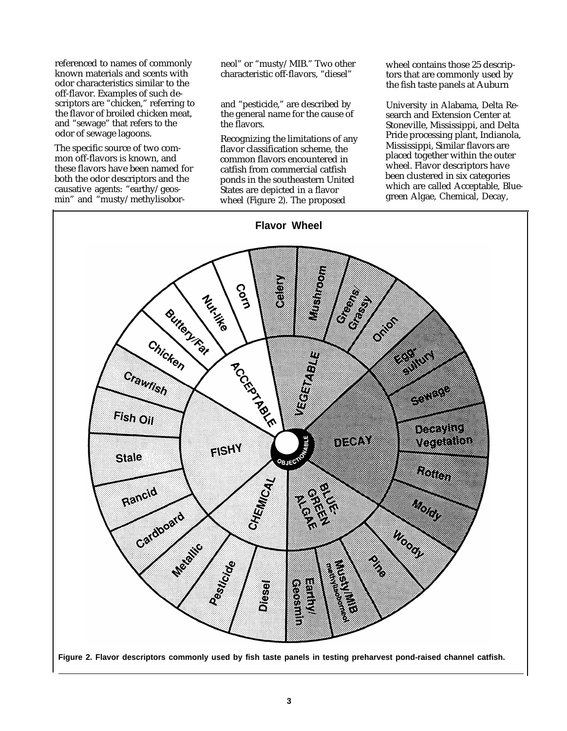referenced to names of commonly neol" or "musty/MIB." Two other wheel contains those 25 descrip-<br>
known materials and scents with characteristic off-flavors, "diesel" tors that are commonly used by known materials and scents with characteristic off-flavors, "diesel" odor characteristics similar to the off-flavor. Examples of such descriptors are "chicken," referring to the flavor of broiled chicken meat, and "sewage" that refers to the odor of sewage lagoons.

The specific source of two common off-flavors is known, and these flavors have been named for both the odor descriptors and the causative agents: "earthy/geosmin" and "musty/methylisobor-

and "pesticide," are described by the general name for the cause of the flavors.

Recognizing the limitations of any flavor classification scheme, the common flavors encountered in catfish from commercial catfish ponds in the southeastern United States are depicted in a flavor wheel (Figure 2). The proposed

the fish taste panels at Auburn

University in Alabama, Delta Research and Extension Center at Stoneville, Mississippi, and Delta Pride processing plant, Indianola, Mississippi, Similar flavors are placed together within the outer wheel. Flavor descriptors have been clustered in six categories which are called Acceptable, Bluegreen Algae, Chemical, Decay,

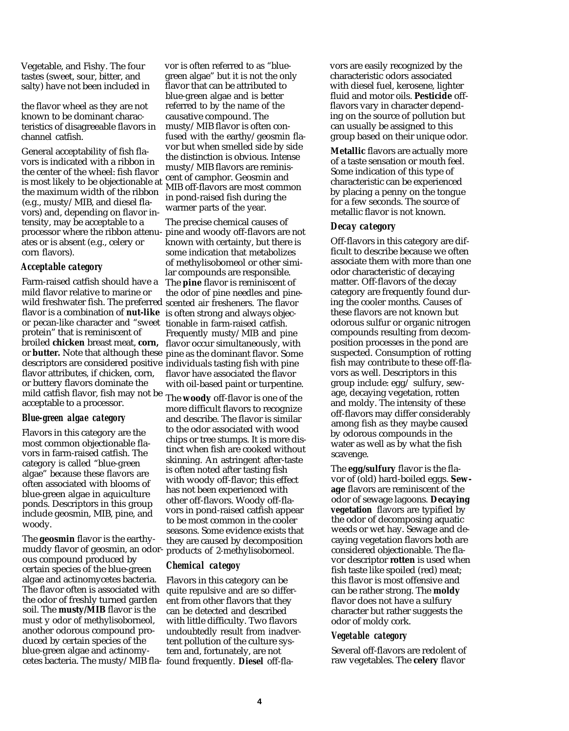Vegetable, and Fishy. The four vor is often referred to as "blue-<br>tastes (sweet, sour, bitter, and green algae" but it is not the only

the flavor wheel as they are not known to be dominant characteristics of disagreeable flavors in channel catfish.

General acceptability of fish flavors is indicated with a ribbon in the center of the wheel: fish flavor is most likely to be objectionable at the maximum width of the ribbon (e.g., musty/MIB, and diesel flavors) and, depending on flavor intensity, may be acceptable to a processor where the ribbon attenuates or is absent (e.g., celery or corn flavors).

#### *Acceptable category*

Farm-raised catfish should have a mild flavor relative to marine or wild freshwater fish. The preferred scented air fresheners. The flavor flavor is a combination of **nut-like** is often strong and always objecor pecan-like character and "sweet protein" that is reminiscent of broiled **chicken** breast meat, **corn,** or **butter.** Note that although these pine as the dominant flavor. Some descriptors are considered positive individuals tasting fish with pine flavor attributes, if chicken, corn, or buttery flavors dominate the mild catfish flavor, fish may not be acceptable to a processor.

#### *Blue-green algae category*

Flavors in this category are the most common objectionable flavors in farm-raised catfish. The category is called "blue-green algae" because these flavors are often associated with blooms of blue-green algae in aquiculture ponds. Descriptors in this group include geosmin, MIB, pine, and woody.

The **geosmin** flavor is the earthymuddy flavor of geosmin, an odor-products of 2-methylisoborneol. ous compound produced by certain species of the blue-green algae and actinomycetes bacteria. The flavor often is associated with the odor of freshly turned garden soil. The **musty/MIB** flavor is the must y odor of methylisoborneol, another odorous compound produced by certain species of the blue-green algae and actinomy-

tastes (sweet, sour, bitter, and green algae" but it is not the only salty) have not been included in flavor that can be attributed to flavor that can be attributed to blue-green algae and is better referred to by the name of the causative compound. The musty/MIB flavor is often confused with the earthy/geosmin flavor but when smelled side by side the distinction is obvious. Intense musty/MIB flavors are reminiscent of camphor. Geosmin and MIB off-flavors are most common in pond-raised fish during the warmer parts of the year.

> The precise chemical causes of pine and woody off-flavors are not known with certainty, but there is some indication that metabolizes of methylisobomeol or other similar compounds are responsible. The **pine** flavor is reminiscent of the odor of pine needles and pinetionable in farm-raised catfish. Frequently musty/MIB and pine flavor occur simultaneously, with flavor have associated the flavor with oil-based paint or turpentine.

The **woody** off-flavor is one of the more difficult flavors to recognize and describe. The flavor is similar to the odor associated with wood chips or tree stumps. It is more distinct when fish are cooked without skinning. An astringent after-taste is often noted after tasting fish with woody off-flavor; this effect has not been experienced with other off-flavors. Woody off-flavors in pond-raised catfish appear to be most common in the cooler seasons. Some evidence exists that they are caused by decomposition

#### *Chemical categoy*

cetes bacteria. The musty/MIB fla-found frequently. **Diesel** off-fla-Flavors in this category can be quite repulsive and are so different from other flavors that they can be detected and described with little difficulty. Two flavors undoubtedly result from inadvertent pollution of the culture system and, fortunately, are not

vors are easily recognized by the characteristic odors associated with diesel fuel, kerosene, lighter fluid and motor oils. **Pesticide** offflavors vary in character depending on the source of pollution but can usually be assigned to this group based on their unique odor.

**Metallic** flavors are actually more of a taste sensation or mouth feel. Some indication of this type of characteristic can be experienced by placing a penny on the tongue for a few seconds. The source of metallic flavor is not known.

#### *Decay category*

Off-flavors in this category are difficult to describe because we often associate them with more than one odor characteristic of decaying matter. Off-flavors of the decay category are frequently found during the cooler months. Causes of these flavors are not known but odorous sulfur or organic nitrogen compounds resulting from decomposition processes in the pond are suspected. Consumption of rotting fish may contribute to these off-flavors as well. Descriptors in this group include: egg/ sulfury, sewage, decaying vegetation, rotten and moldy. The intensity of these off-flavors may differ considerably among fish as they maybe caused by odorous compounds in the water as well as by what the fish scavenge.

The **egg/sulfury** flavor is the flavor of (old) hard-boiled eggs. **Sewage** flavors are reminiscent of the odor of sewage lagoons. **Decaying vegetation** flavors are typified by the odor of decomposing aquatic weeds or wet hay. Sewage and decaying vegetation flavors both are considered objectionable. The flavor descriptor **rotten** is used when fish taste like spoiled (red) meat; this flavor is most offensive and can be rather strong. The **moldy** flavor does not have a sulfury character but rather suggests the odor of moldy cork.

## *Vegetable category*

Several off-flavors are redolent of raw vegetables. The **celery** flavor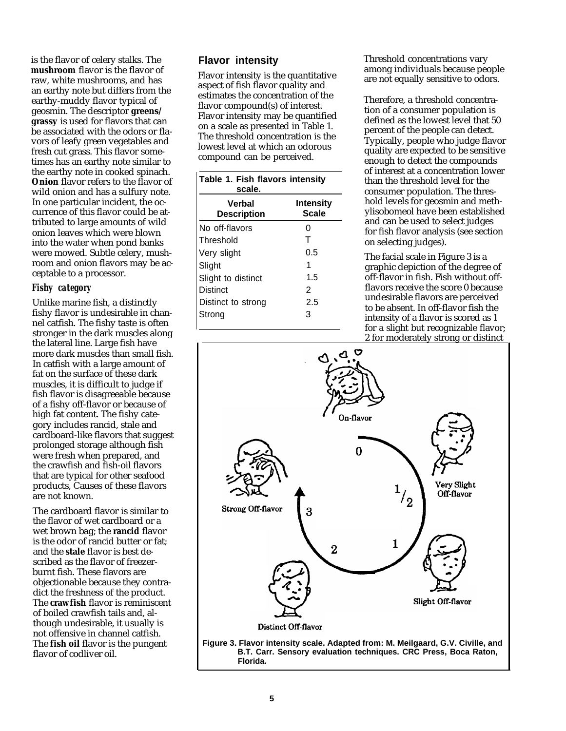is the flavor of celery stalks. The **mushroom** flavor is the flavor of raw, white mushrooms, and has an earthy note but differs from the earthy-muddy flavor typical of geosmin. The descriptor **greens/ grassy** is used for flavors that can be associated with the odors or flavors of leafy green vegetables and fresh cut grass. This flavor sometimes has an earthy note similar to the earthy note in cooked spinach. **Onion** flavor refers to the flavor of wild onion and has a sulfury note. In one particular incident, the occurrence of this flavor could be attributed to large amounts of wild onion leaves which were blown into the water when pond banks were mowed. Subtle celery, mushroom and onion flavors may be acceptable to a processor.

# *Fishy category*

Unlike marine fish, a distinctly fishy flavor is undesirable in channel catfish. The fishy taste is often stronger in the dark muscles along the lateral line. Large fish have more dark muscles than small fish. In catfish with a large amount of fat on the surface of these dark muscles, it is difficult to judge if fish flavor is disagreeable because of a fishy off-flavor or because of high fat content. The fishy category includes rancid, stale and cardboard-like flavors that suggest prolonged storage although fish were fresh when prepared, and the crawfish and fish-oil flavors that are typical for other seafood products, Causes of these flavors are not known.

The cardboard flavor is similar to the flavor of wet cardboard or a wet brown bag; the **rancid** flavor is the odor of rancid butter or fat; and the **stale** flavor is best described as the flavor of freezerburnt fish. These flavors are objectionable because they contradict the freshness of the product. The **crawfish** flavor is reminiscent of boiled crawfish tails and, although undesirable, it usually is not offensive in channel catfish. The **fish oil** flavor is the pungent flavor of codliver oil.

# **Flavor intensity**

Flavor intensity is the quantitative aspect of fish flavor quality and estimates the concentration of the flavor compound(s) of interest. Flavor intensity may be quantified on a scale as presented in Table 1. The threshold concentration is the lowest level at which an odorous compound can be perceived.

| Table 1. Fish flavors intensity<br>scale. |                                  |  |  |
|-------------------------------------------|----------------------------------|--|--|
| Verbal<br><b>Description</b>              | <b>Intensity</b><br><b>Scale</b> |  |  |
| No off-flavors                            | O                                |  |  |
| Threshold                                 | т                                |  |  |
| Very slight                               | 0.5                              |  |  |
| Slight                                    |                                  |  |  |
| Slight to distinct                        | 1.5                              |  |  |
| <b>Distinct</b>                           | 2                                |  |  |
| Distinct to strong                        | 2.5                              |  |  |
| Strong                                    | 3                                |  |  |

Threshold concentrations vary among individuals because people are not equally sensitive to odors.

Therefore, a threshold concentration of a consumer population is defined as the lowest level that 50 percent of the people can detect. Typically, people who judge flavor quality are expected to be sensitive enough to detect the compounds of interest at a concentration lower than the threshold level for the consumer population. The threshold levels for geosmin and methylisobomeol have been established and can be used to select judges for fish flavor analysis (see section on selecting judges).

The facial scale in Figure 3 is a graphic depiction of the degree of off-flavor in fish. Fish without offflavors receive the score 0 because undesirable flavors are perceived to be absent. In off-flavor fish the intensity of a flavor is scored as 1 for a slight but recognizable flavor; 2 for moderately strong or distinct

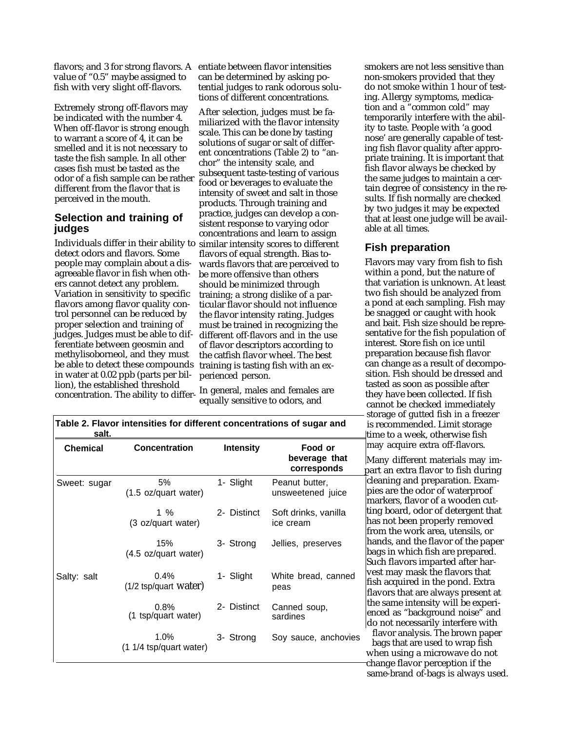flavors; and 3 for strong flavors. A entiate between flavor intensities value of "0.5" maybe assigned to fish with very slight off-flavors.

Extremely strong off-flavors may be indicated with the number 4. When off-flavor is strong enough to warrant a score of 4, it can be smelled and it is not necessary to taste the fish sample. In all other cases fish must be tasted as the odor of a fish sample can be rather different from the flavor that is perceived in the mouth.

## **Selection and training of judges**

Individuals differ in their ability to detect odors and flavors. Some people may complain about a disagreeable flavor in fish when others cannot detect any problem. Variation in sensitivity to specific flavors among flavor quality control personnel can be reduced by proper selection and training of judges. Judges must be able to differentiate between geosmin and methylisoborneol, and they must be able to detect these compounds in water at 0.02 ppb (parts per billion), the established threshold

can be determined by asking potential judges to rank odorous solutions of different concentrations.

After selection, judges must be familiarized with the flavor intensity scale. This can be done by tasting solutions of sugar or salt of different concentrations (Table 2) to "anchor" the intensity scale, and subsequent taste-testing of various food or beverages to evaluate the intensity of sweet and salt in those products. Through training and practice, judges can develop a consistent response to varying odor concentrations and learn to assign similar intensity scores to different flavors of equal strength. Bias towards flavors that are perceived to be more offensive than others should be minimized through training; a strong dislike of a particular flavor should not influence the flavor intensity rating. Judges must be trained in recognizing the different off-flavors and in the use of flavor descriptors according to the catfish flavor wheel. The best training is tasting fish with an experienced person.

concentration. The ability to differ-<br>equally sensitive to odors, and In general, males and females are smokers are not less sensitive than non-smokers provided that they do not smoke within 1 hour of testing. Allergy symptoms, medication and a "common cold" may temporarily interfere with the ability to taste. People with 'a good nose' are generally capable of testing fish flavor quality after appropriate training. It is important that fish flavor always be checked by the same judges to maintain a certain degree of consistency in the results. If fish normally are checked by two judges it may be expected that at least one judge will be available at all times.

## **Fish preparation**

Flavors may vary from fish to fish within a pond, but the nature of that variation is unknown. At least two fish should be analyzed from a pond at each sampling. Fish may be snagged or caught with hook and bait. Fish size should be representative for the fish population of interest. Store fish on ice until preparation because fish flavor can change as a result of decomposition. Fish should be dressed and tasted as soon as possible after they have been collected. If fish cannot be checked immediately storage of gutted fish in a freezer<br>is recommended. Limit storage **salt.** time to a week, otherwise fish may acquire extra off-flavors.

Many different materials may impart an extra flavor to fish during cleaning and preparation. Exampies are the odor of waterproof markers, flavor of a wooden cutting board, odor of detergent that has not been properly removed from the work area, utensils, or hands, and the flavor of the paper bags in which fish are prepared. Such flavors imparted after harvest may mask the flavors that fish acquired in the pond. Extra flavors that are always present at the same intensity will be experienced as "background noise" and do not necessarily interfere with

Soy sauce, anchovies flavor analysis. The brown paper bags that are used to wrap fish when using a microwave do not change flavor perception if the same-brand of-bags is always used.

| <b>Chemical</b> | <b>Concentration</b>            | <b>Intensity</b> | Food or<br>beverage that<br>corresponds |
|-----------------|---------------------------------|------------------|-----------------------------------------|
| Sweet: sugar    | 5%<br>(1.5 oz/quart water)      | 1- Slight        | Peanut butter,<br>unsweetened juice     |
|                 | 1 %<br>(3 oz/quart water)       | 2- Distinct      | Soft drinks, vanilla<br>ice cream       |
|                 | 15%<br>(4.5 oz/quart water)     | 3- Strong        | Jellies, preserves                      |
| Salty: salt     | 0.4%<br>$(1/2$ tsp/quart water) | 1- Slight        | White bread, canned<br>peas             |
|                 | $0.8\%$<br>(1 tsp/quart water)  | 2- Distinct      | Canned soup,<br>sardines                |
|                 | $1.0\%$                         | 3- Strong        | Soy sauce, anchovies                    |

(1 1/4 tsp/quart water)

Table 2. Flavor intensities for different concentrations of sugar and<br>salt.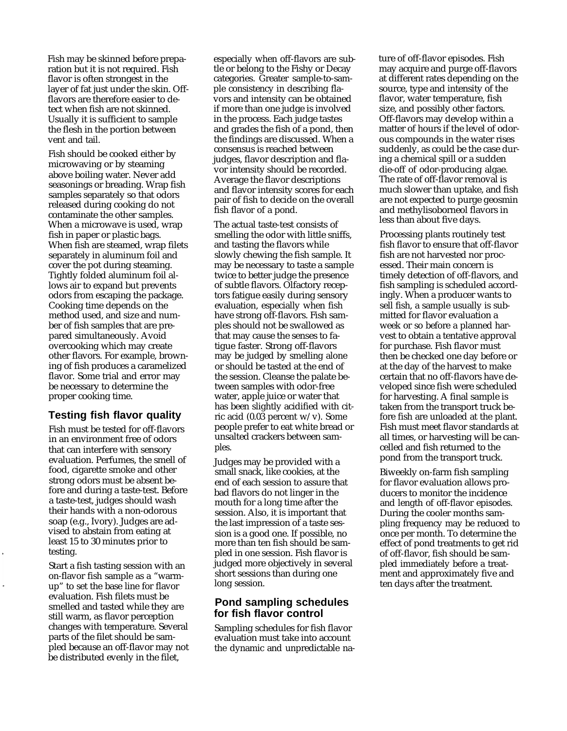Fish may be skinned before preparation but it is not required. Fish flavor is often strongest in the layer of fat just under the skin. Offflavors are therefore easier to detect when fish are not skinned. Usually it is sufficient to sample the flesh in the portion between vent and tail.

Fish should be cooked either by microwaving or by steaming above boiling water. Never add seasonings or breading. Wrap fish samples separately so that odors released during cooking do not contaminate the other samples. When a microwave is used, wrap fish in paper or plastic bags. When fish are steamed, wrap filets separately in aluminum foil and cover the pot during steaming. Tightly folded aluminum foil allows air to expand but prevents odors from escaping the package. Cooking time depends on the method used, and size and number of fish samples that are prepared simultaneously. Avoid overcooking which may create other flavors. For example, browning of fish produces a caramelized flavor. Some trial and error may be necessary to determine the proper cooking time.

# **Testing fish flavor quality**

Fish must be tested for off-flavors in an environment free of odors that can interfere with sensory evaluation. Perfumes, the smell of food, cigarette smoke and other strong odors must be absent before and during a taste-test. Before a taste-test, judges should wash their hands with a non-odorous soap (e.g., Ivory). Judges are advised to abstain from eating at least 15 to 30 minutes prior to testing.

Start a fish tasting session with an on-flavor fish sample as a "warmup" to set the base line for flavor evaluation. Fish filets must be smelled and tasted while they are still warm, as flavor perception changes with temperature. Several parts of the filet should be sampled because an off-flavor may not be distributed evenly in the filet,

especially when off-flavors are subtle or belong to the Fishy or Decay categories. Greater sample-to-sample consistency in describing flavors and intensity can be obtained if more than one judge is involved in the process. Each judge tastes and grades the fish of a pond, then the findings are discussed. When a consensus is reached between judges, flavor description and flavor intensity should be recorded. Average the flavor descriptions and flavor intensity scores for each pair of fish to decide on the overall fish flavor of a pond.

The actual taste-test consists of smelling the odor with little sniffs, and tasting the flavors while slowly chewing the fish sample. It may be necessary to taste a sample twice to better judge the presence of subtle flavors. Olfactory receptors fatigue easily during sensory evaluation, especially when fish have strong off-flavors. Fish samples should not be swallowed as that may cause the senses to fatigue faster. Strong off-flavors may be judged by smelling alone or should be tasted at the end of the session. Cleanse the palate between samples with odor-free water, apple juice or water that has been slightly acidified with citric acid  $(0.03$  percent w/v). Some people prefer to eat white bread or unsalted crackers between samples.

Judges may be provided with a small snack, like cookies, at the end of each session to assure that bad flavors do not linger in the mouth for a long time after the session. Also, it is important that the last impression of a taste session is a good one. If possible, no more than ten fish should be sampled in one session. Fish flavor is judged more objectively in several short sessions than during one long session.

## **Pond sampling schedules for fish flavor control**

Sampling schedules for fish flavor evaluation must take into account the dynamic and unpredictable nature of off-flavor episodes. Fish may acquire and purge off-flavors at different rates depending on the source, type and intensity of the flavor, water temperature, fish size, and possibly other factors. Off-flavors may develop within a matter of hours if the level of odorous compounds in the water rises suddenly, as could be the case during a chemical spill or a sudden die-off of odor-producing algae. The rate of off-flavor removal is much slower than uptake, and fish are not expected to purge geosmin and methylisoborneol flavors in less than about five days.

Processing plants routinely test fish flavor to ensure that off-flavor fish are not harvested nor processed. Their main concern is timely detection of off-flavors, and fish sampling is scheduled accordingly. When a producer wants to sell fish, a sample usually is submitted for flavor evaluation a week or so before a planned harvest to obtain a tentative approval for purchase. Fish flavor must then be checked one day before or at the day of the harvest to make certain that no off-flavors have developed since fish were scheduled for harvesting. A final sample is taken from the transport truck before fish are unloaded at the plant. Fish must meet flavor standards at all times, or harvesting will be cancelled and fish returned to the pond from the transport truck.

Biweekly on-farm fish sampling for flavor evaluation allows producers to monitor the incidence and length of off-flavor episodes. During the cooler months sampling frequency may be reduced to once per month. To determine the effect of pond treatments to get rid of off-flavor, fish should be sampled immediately before a treatment and approximately five and ten days after the treatment.